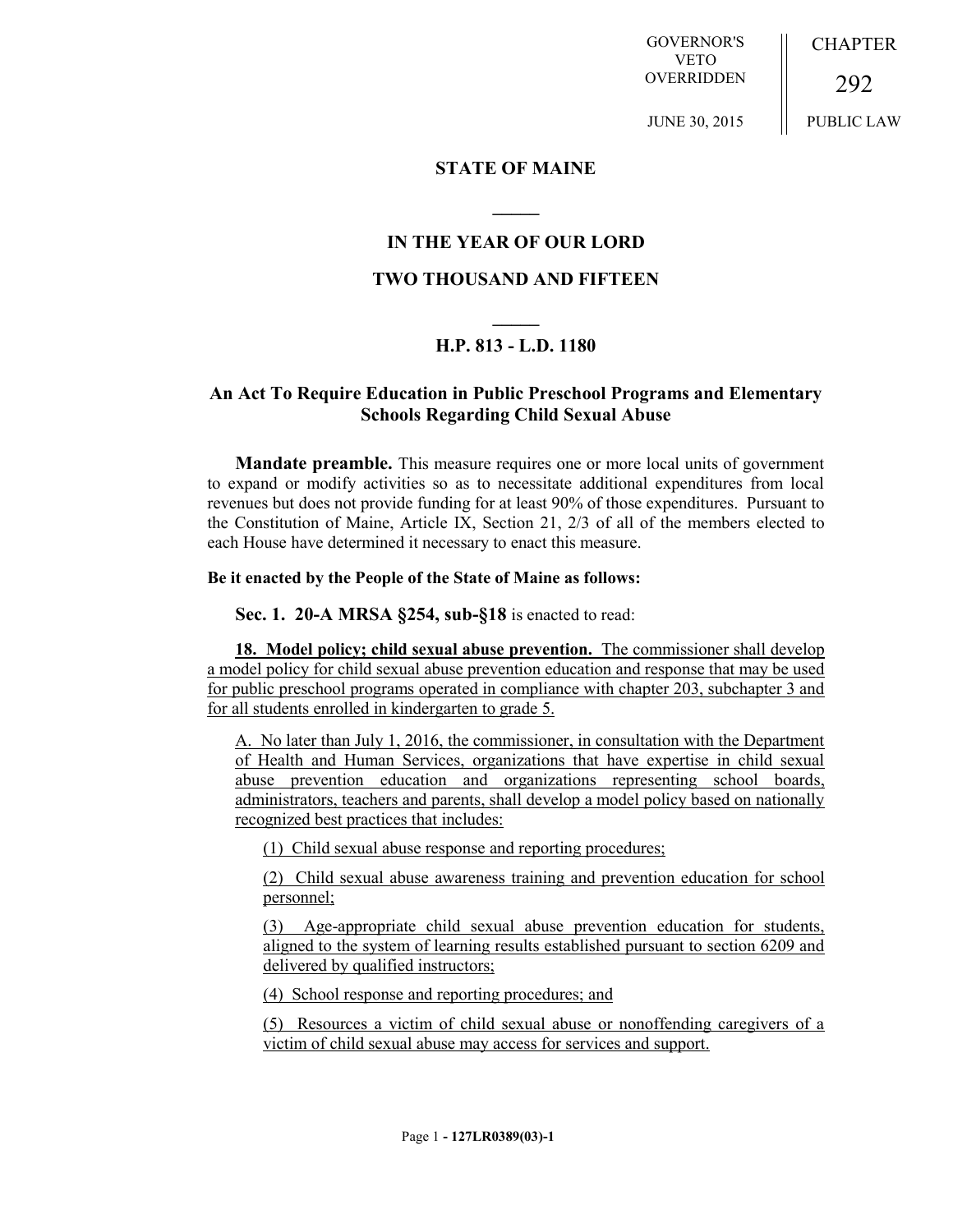GOVERNOR'S VETO OVERRIDDEN **CHAPTER** 

JUNE 30, 2015

292 PUBLIC LAW

### **STATE OF MAINE**

### **IN THE YEAR OF OUR LORD**

**\_\_\_\_\_**

## **TWO THOUSAND AND FIFTEEN**

# **\_\_\_\_\_ H.P. 813 - L.D. 1180**

## **An Act To Require Education in Public Preschool Programs and Elementary Schools Regarding Child Sexual Abuse**

**Mandate preamble.** This measure requires one or more local units of government to expand or modify activities so as to necessitate additional expenditures from local revenues but does not provide funding for at least 90% of those expenditures. Pursuant to the Constitution of Maine, Article IX, Section 21, 2/3 of all of the members elected to each House have determined it necessary to enact this measure.

#### **Be it enacted by the People of the State of Maine as follows:**

**Sec. 1. 20-A MRSA §254, sub-§18** is enacted to read:

**18. Model policy; child sexual abuse prevention.** The commissioner shall develop a model policy for child sexual abuse prevention education and response that may be used for public preschool programs operated in compliance with chapter 203, subchapter 3 and for all students enrolled in kindergarten to grade 5.

A. No later than July 1, 2016, the commissioner, in consultation with the Department of Health and Human Services, organizations that have expertise in child sexual abuse prevention education and organizations representing school boards, administrators, teachers and parents, shall develop a model policy based on nationally recognized best practices that includes:

(1) Child sexual abuse response and reporting procedures;

(2) Child sexual abuse awareness training and prevention education for school personnel;

(3) Age-appropriate child sexual abuse prevention education for students, aligned to the system of learning results established pursuant to section 6209 and delivered by qualified instructors;

(4) School response and reporting procedures; and

(5) Resources a victim of child sexual abuse or nonoffending caregivers of a victim of child sexual abuse may access for services and support.